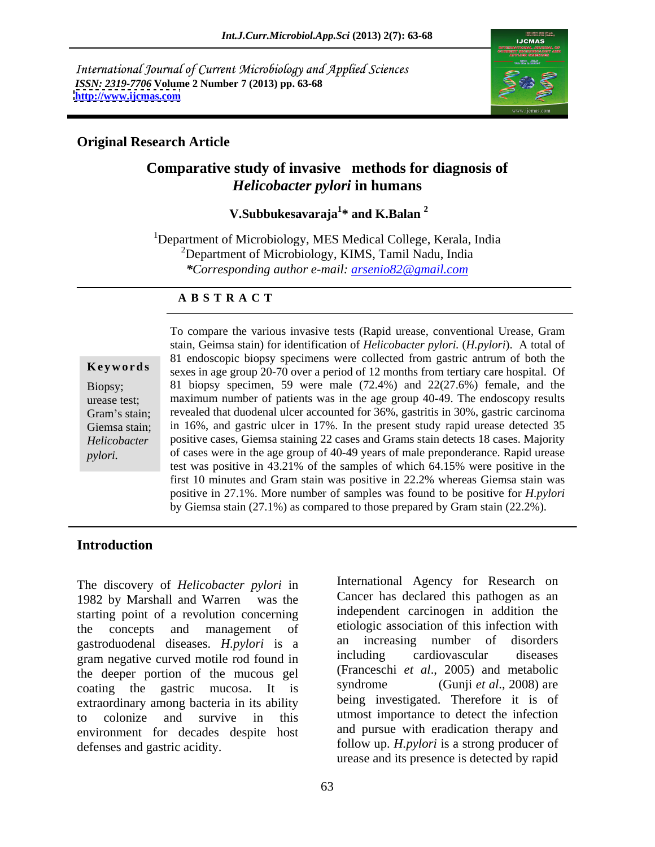International Journal of Current Microbiology and Applied Sciences *ISSN: 2319-7706* **Volume 2 Number 7 (2013) pp. 63-68 <http://www.ijcmas.com>**



### **Original Research Article**

# **Comparative study of invasive methods for diagnosis of**  *Helicobacter pylori* **in humans**

### **V.Subbukesavaraja<sup>1</sup> \* and K.Balan <sup>2</sup>**

<sup>1</sup>Department of Microbiology, MES Medical College, Kerala, India  $2$ Department of Microbiology, KIMS, Tamil Nadu, India *\*Corresponding author e-mail: arsenio82@gmail.com*

### **A B S T R A C T**

**Ke ywo rds** sexes in age group 20-70 over a period of 12 months from tertiary care hospital. Of Biopsy; 81 biopsy specimen, 59 were male (72.4%) and 22(27.6%) female, and the urease test; maximum number of patients was in the age group 40-49. The endoscopy results Gram's stain; revealed that duodenal ulcer accounted for 36%, gastritis in 30%, gastric carcinoma Giemsa stain; in 16%, and gastric ulcer in 17%. In the present study rapid urease detected 35 *Helicobacter*  positive cases, Giemsa staining 22 cases and Grams stain detects 18 cases. Majority To compare the various invasive tests (Rapid urease, conventional Urease, Gram<br>
stain, Geimsa stain) for identification of *Helicobacter pylori*. (*H.pylori*). A total of<br>
81 endoscopic biopsy specimens were collected from stain, Geimsa stain) for identification of *Helicobacter pylori.* (*H.pylori*). A total of 81 endoscopic biopsy specimens were collected from gastric antrum of both the of cases were in the age group of 40-49 years of male preponderance. Rapid urease test was positive in 43.21% of the samples of which 64.15% were positive in the first 10 minutes and Gram stain was positive in 22.2% whereas Giemsa stain was positive in 27.1%. More number of samples was found to be positive for *H.pylori*  by Giemsa stain (27.1%) as compared to those prepared by Gram stain (22.2%).

# **Introduction**

The discovery of *Helicobacter pylori* in 1982 by Marshall and Warren was the starting point of a revolution concerning the concepts and management of etiologic association of this infection with gastroduodenal diseases. *H.pylori* is a an increasing number of disorders are negative curved motile rod found in including cardiovascular diseases gram negative curved motile rod found in the deeper portion of the mucous gel (Franceschi et al., 2005) and metabolic<br>coating the gastric mucosa. It is syndrome (Gunji et al., 2008) are coating the gastric mucosa. It is extraordinary among bacteria in its ability to colonize and survive in this utmost importance to detect the infection environment for decades despite host

defenses and gastric acidity. follow up. *H.pylori* is a strong producer of International Agency for Research on Cancer has declared this pathogen as an independent carcinogen in addition the an increasing number of disorders including cardiovascular diseases (Franceschi *et al*., 2005) and metabolic syndrome (Gunji *et al*., 2008) are being investigated. Therefore it is of and pursue with eradication therapy and urease and its presence is detected by rapid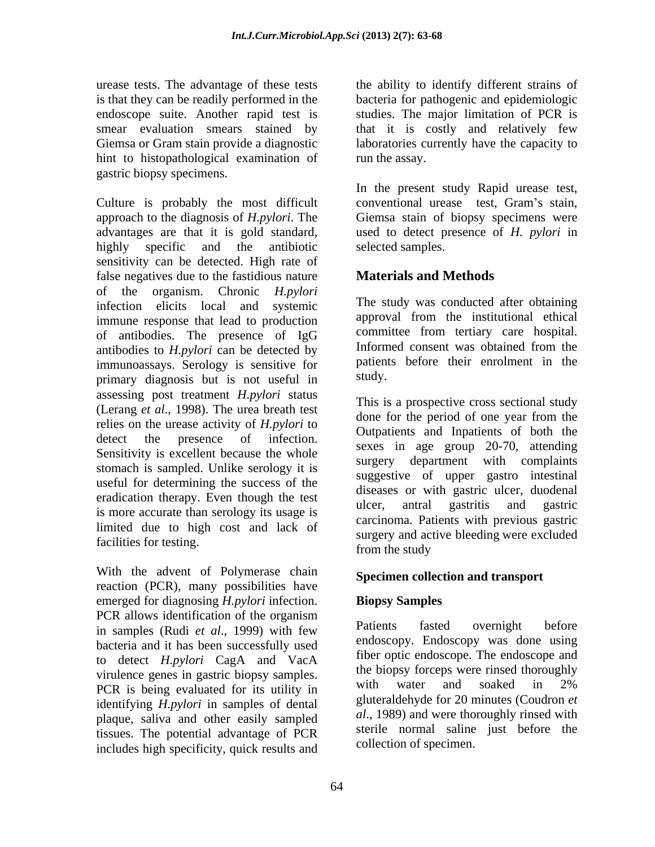urease tests. The advantage of these tests the ability to identify different strains of is that they can be readily performed in the endoscope suite. Another rapid test is smear evaluation smears stained by that it is costly and relatively few Giemsa or Gram stain provide a diagnostic laboratories currently have the capacity to hint to histopathological examination of gastric biopsy specimens.

Culture is probably the most difficult conventional urease test, Gram's stain, approach to the diagnosis of *H.pylori*. The Giemsa stain of biopsy specimens were advantages are that it is gold standard, used to detect presence of *H. pylori* in highly specific and the antibiotic sensitivity can be detected. High rate of false negatives due to the fastidious nature of the organism. Chronic *H.pylori*  infection elicits local and systemic immune response that lead to production of antibodies. The presence of IgG committee from tertiary care hospital.<br>antibodies to H pylori can be detected by Informed consent was obtained from the antibodies to *H.pylori* can be detected by immunoassays. Serology is sensitive for patient<br>primary diagnosis but is not useful in study. primary diagnosis but is not useful in assessing post treatment *H.pylori* status (Lerang *et al.*, 1998). The urea breath test relies on the urease activity of *H.pylori* to detect the presence of infection. Sensitivity is excellent because the whole stomach is sampled. Unlike serology it is useful for determining the success of the eradication therapy. Even though the test<br>ulcer, antral gastritis and gastric is more accurate than serology its usage is limited due to high cost and lack of facilities for testing.<br>
from the study<br>
from the study

With the advent of Polymerase chain reaction (PCR), many possibilities have emerged for diagnosing *H.pylori* infection. **Biopsy Samples** PCR allows identification of the organism in samples (Rudi *et al*., 1999) with few bacteria and it has been successfully used to detect *H.pylori* CagA and VacA virulence genes in gastric biopsy samples.<br>
The biopsy forceps were rinsed thoroughly<br>
Non is being symboted for its willty in with water and soaked in 2% PCR is being evaluated for its utility in identifying *H.pylori* in samples of dental plaque, saliva and other easily sampled tissues. The potential advantage of PCR includes high specificity, quick results and

bacteria for pathogenic and epidemiologic studies. The major limitation of PCR is run the assay.

In the present study Rapid urease test, conventional urease test, Gram's stain, selected samples.

# **Materials and Methods**

The study was conducted after obtaining approval from the institutional ethical committee from tertiary care hospital. Informed consent was obtained from the patients before their enrolment in the study.

This is a prospective cross sectional study done for the period of one year from the Outpatients and Inpatients of both the sexes in age group 20-70, attending surgery department with complaints suggestive of upper gastro intestinal diseases or with gastric ulcer, duodenal ulcer, antral gastritis and gastric carcinoma. Patients with previous gastric surgery and active bleeding were excluded from the study and the study of  $\mathcal{L}$  is the study of  $\mathcal{L}$ 

## **Specimen collection and transport**

# **Biopsy Samples**

Patients fasted overnight before endoscopy. Endoscopy was done using fiber optic endoscope. The endoscope and the biopsy forceps were rinsed thoroughly with water and soaked in 2% gluteraldehyde for 20 minutes (Coudron *et al*., 1989) and were thoroughly rinsed with sterile normal saline just before the collection of specimen.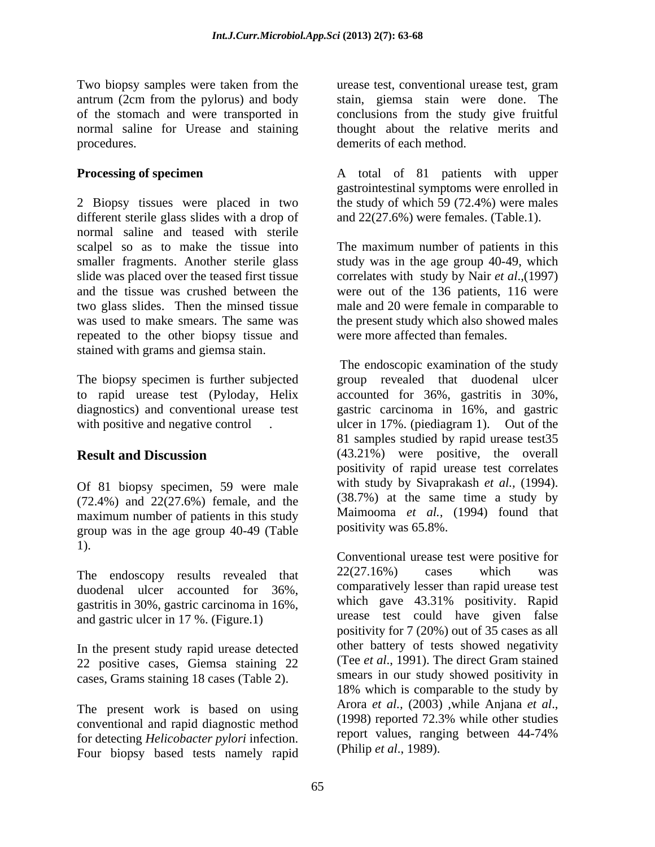antrum (2cm from the pylorus) and body normal saline for Urease and staining procedures. demerits of each method.

2 Biopsy tissues were placed in two the study of which 59 (72.4%) were males different sterile glass slides with a drop of normal saline and teased with sterile scalpel so as to make the tissue into The maximum number of patients in this smaller fragments. Another sterile glass study was in the age group 40-49, which slide was placed over the teased first tissue correlates with study by Nair *et al*.,(1997) and the tissue was crushed between the were out of the 136 patients, 116 were two glass slides. Then the minsed tissue male and 20 were female in comparable to was used to make smears. The same was the present study which also showed males repeated to the other biopsy tissue and stained with grams and giemsa stain.

The biopsy specimen is further subjected

Of 81 biopsy specimen, 59 were male (72.4%) and 22(27.6%) female, and the maximum number of patients in this study group was in the age group 40-49 (Table

duodenal ulcer accounted for 36%, gastritis in 30%, gastric carcinoma in 16%, and gastric ulcer in 17 %. (Figure.1)

In the present study rapid urease detected<br>22 november 20 november 22 november 22 november 22 november 22 november 22 november 22 november 22 november 20 22 positive cases, Giemsa staining 22 cases, Grams staining 18 cases (Table 2).

conventional and rapid diagnostic method (1998) reported  $/2.3\%$  while other studies<br>for detecting Helicohacter pylori infection report values, ranging between 44-74% for detecting *Helicobacter pylori* infection. The report values, rang<br>Four bigged tests pamely rapid (Philip *et al.*, 1989). Four biopsy based tests namely rapid

Two biopsy samples were taken from the urease test, conventional urease test, gram of the stomach and were transported in conclusions from the study give fruitful stain, giemsa stain were done. The thought about the relative merits and

**Processing of specimen** A total of 81 patients with upper gastrointestinal symptoms were enrolled in and 22(27.6%) were females. (Table.1).

were more affected than females.

to rapid urease test (Pyloday, Helix accounted for 36%, gastritis in 30%, diagnostics) and conventional urease test gastric carcinoma in 16%, and gastric with positive and negative control *i*. ulcer in 17%. (piediagram 1). Out of the **Result and Discussion** (43.21%) were positive, the overall The endoscopic examination of the study group revealed that duodenal ulcer 81 samples studied by rapid urease test35 positivity of rapid urease test correlates with study by Sivaprakash *et al.,* (1994). (38.7%) at the same time a study by Maimooma *et al.,* (1994) found that positivity was 65.8%.

1).<br>
Conventional urease test were positive for<br>
The endoscopy results revealed that  $22(27.16%)$  cases which was The present work is based on using Arora *et al.*, (2003) while Anjana *et al.*, (2003) any operational and regular discretion at the conventional contract (1998) reported 72.3% while other studies Conventional urease test were positive for 22(27.16%) cases which was comparatively lesser than rapid urease test which gave 43.31% positivity. Rapid urease test could have given false positivity for 7 (20%) out of 35 cases as all other battery of tests showed negativity (Tee *et al*., 1991). The direct Gram stained smears in our study showed positivity in 18% which is comparable to the study by Arora *et al.,* (2003) ,while Anjana *et al*., (1998) reported 72.3% while other studies report values, ranging between 44-74% (Philip *et al*., 1989).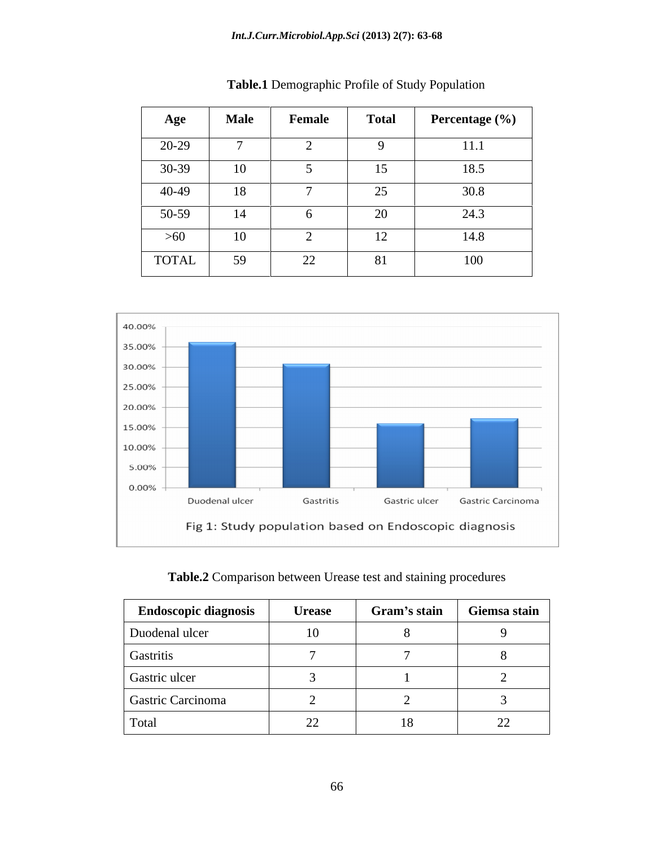| Age          | <b>Male</b> | Female         | <b>Total</b> | Percentage (%) |
|--------------|-------------|----------------|--------------|----------------|
| 20-29        |             |                |              | 11.1           |
| $30-39$      | 10          |                | - -<br>15    | 18.5           |
| 40-49        | 18          |                | 25           | 30.8           |
| 50-59        | 14          |                | 20           | 24.3           |
| $>60$        | 10          |                | $\mathbf{1}$ | 14.8           |
| <b>TOTAL</b> | 59          | $\Omega$<br>44 | 81           | 100            |

| <b>Table.1</b> Demographic Profile of Study Population |  |
|--------------------------------------------------------|--|
|                                                        |  |



| <b>Endoscopic diagnosis</b> | <b>Urease</b>                      | Gram's stain Giemsa stain |                          |
|-----------------------------|------------------------------------|---------------------------|--------------------------|
| Duodenal ulcer              | 10                                 |                           |                          |
| Gastritis                   |                                    |                           |                          |
| Gastric ulcer               |                                    |                           |                          |
| Gastric Carcinoma           |                                    |                           |                          |
| Total                       | $\sim$<br>$\overline{\phantom{m}}$ |                           | $\overline{\phantom{m}}$ |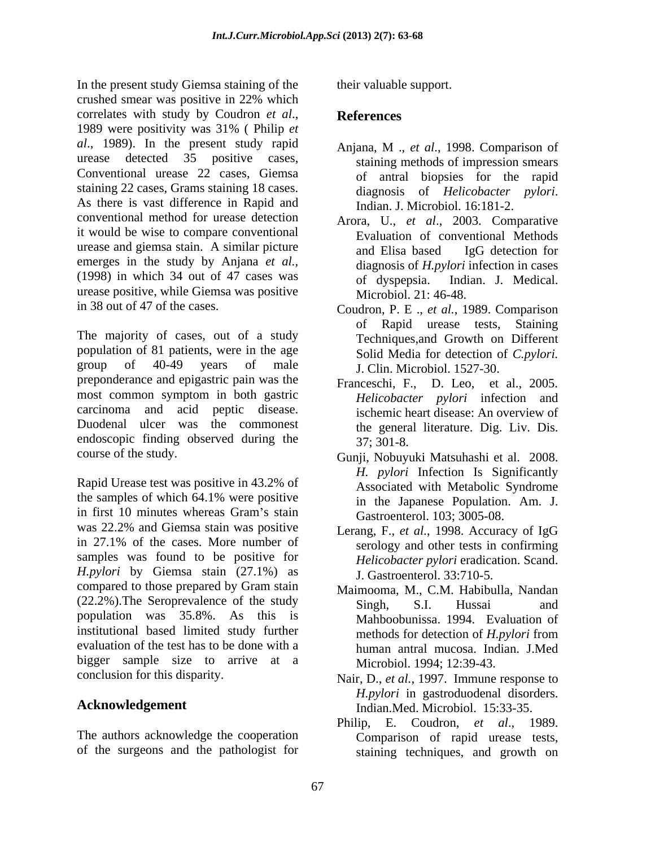In the present study Giemsa staining of the crushed smear was positive in 22% which correlates with study by Coudron *et al.*, **References**<br>1989 were positivity was 31% ( Philip *et al.*, 1989). In the present study rapid Anjana, M., et al., 1998. Comparison of urease detected 35 positive cases, staining methods of impression smears Conventional urease 22 cases, Giemsa staining 22 cases, Grams staining 18 cases.<br>diagnosis of *Helicobacter pylori*. As there is vast difference in Rapid and Indian, J. Microbiol, 16:181-2. conventional method for urease detection it would be wise to compare conventional urease and giemsa stain. A similar picture and Elisa based IgG detection for emerges in the study by Anjana*et al.,* (1998) in which 34 out of 47 cases was urease positive, while Giemsa was positive

population of 81 patients, were in the age group of  $40-49$  years of male  $\qquad$  I Clin Microbiol 1527-30 preponderance and epigastric pain was the most common symptom in both gastric carcinoma and acid peptic disease. Duodenal ulcer was the commonest endoscopic finding observed during the  $37:301-8$ .

Rapid Urease test was positive in 43.2% of the samples of which 64.1% were positive in the Japanese Population Am. I in first 10 minutes whereas Gram's stain  $\frac{103 \cdot 3005}{605}$ was 22.2% and Giemsa stain was positive Lerang, F., et al., 1998. Accuracy of JgG in 27.1% of the cases. More number of serology and other tests in confirming samples was found to be positive for *H.pylori* by Giemsa stain (27.1%) as compared to those prepared by Gram stain (22.2%). The Seroprevalence of the study Singh, S.I. Hussai and population was 35.8%. As this is Mahboobunissa. 1994. Evaluation of institutional based limited study further methods for detection of *H.pylori* from evaluation of the test has to be done with a bigger sample size to arrive at a

The authors acknowledge the cooperation of the surgeons and the pathologist for

their valuable support.

# **References**

- Anjana, M ., *et al*., 1998. Comparison of of antral biopsies for the rapid diagnosis of *Helicobacter pylori*. Indian. J. Microbiol. 16:181-2.
- Arora, U., *et al*., 2003. Comparative Evaluation of conventional Methods and Elisa based IgG detection for diagnosis of *H.pylori* infection in cases Indian. J. Medical. Microbiol. 21: 46-48.
- in 38 out of 47 of the cases. Coudron, P. E ., *et al.*, 1989. Comparison The majority of cases, out of a study<br>Techniques and Growth on Different of Rapid urease tests, Staining Techniques,and Growth on Different Solid Media for detection of *C.pylori.* J. Clin. Microbiol. 1527-30.
	- Franceschi, F., D. Leo, et al., 2005. *Helicobacter pylori* infection and ischemic heart disease: An overview of the general literature. Dig. Liv. Dis. 37; 301-8.
- course of the study. Gunji, Nobuyuki Matsuhashi et al. 2008. *H. pylori* Infection Is Significantly Associated with Metabolic Syndrome in the Japanese Population. Am. J. Gastroenterol. 103; 3005-08.
	- Lerang, F., *et al.*, 1998. Accuracy of IgG serology and other tests in confirming *Helicobacter pylori* eradication. Scand. J. Gastroenterol. 33:710-5.
	- Maimooma, M., C.M. Habibulla, Nandan Singh, S.I. Hussai and methods for detection of *H.pylori* from human antral mucosa. Indian. J.Med Microbiol. 1994; 12:39-43.
- conclusion for this disparity. Nair, D., *et al.,* 1997. Immune response to Acknowledgement **Indian.Med. Microbiol.** 15:33-35. *H.pylori* in gastroduodenal disorders.
	- Philip, E. Coudron, *et al*., 1989. Comparison of rapid urease tests, staining techniques, and growth on